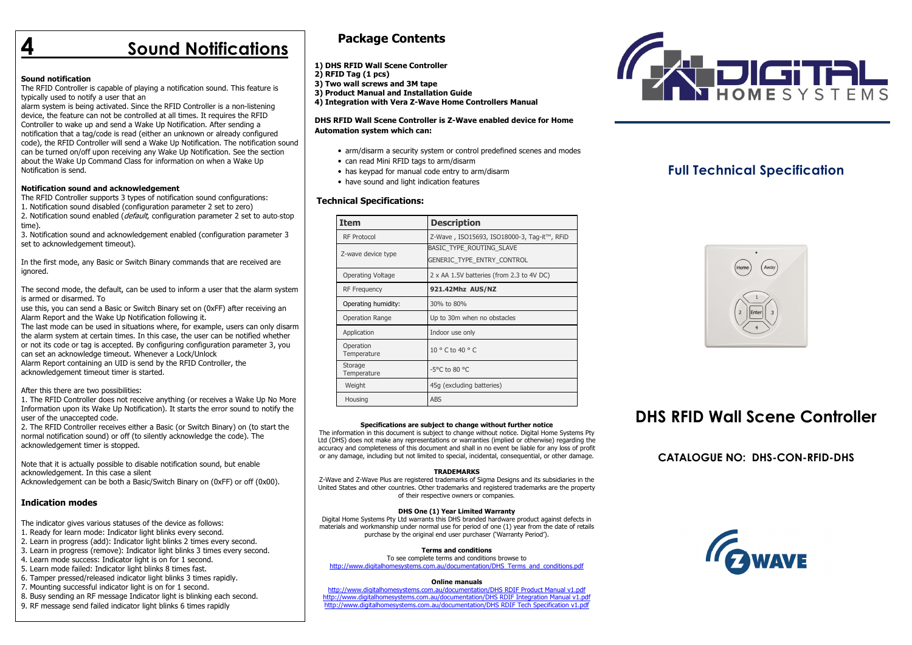## **Sound Notifications**

#### Sound notification

 The RFID Controller is capable of playing a notification sound. This feature is typically used to notify a user that an

 alarm system is being activated. Since the RFID Controller is a non-listening device, the feature can not be controlled at all times. It requires the RFID Controller to wake up and send a Wake Up Notification. After sending a notification that a tag/code is read (either an unknown or already configured code), the RFID Controller will send a Wake Up Notification. The notification sound can be turned on/off upon receiving any Wake Up Notification. See the section about the Wake Up Command Class for information on when a Wake Up Notification is send.

#### Notification sound and acknowledgement

 The RFID Controller supports 3 types of notification sound configurations: 1. Notification sound disabled (configuration parameter 2 set to zero)

2. Notification sound enabled (*default*, configuration parameter 2 set to auto-stop time).

 3. Notification sound and acknowledgement enabled (configuration parameter 3 set to acknowledgement timeout).

In the first mode, any Basic or Switch Binary commands that are received are ignored.

The second mode, the default, can be used to inform a user that the alarm system is armed or disarmed. To

 use this, you can send a Basic or Switch Binary set on (0xFF) after receiving an Alarm Report and the Wake Up Notification following it.

 The last mode can be used in situations where, for example, users can only disarm the alarm system at certain times. In this case, the user can be notified whether or not its code or tag is accepted. By configuring configuration parameter 3, you can set an acknowledge timeout. Whenever a Lock/Unlock Alarm Report containing an UID is send by the RFID Controller, the acknowledgement timeout timer is started.

#### After this there are two possibilities:

 1. The RFID Controller does not receive anything (or receives a Wake Up No More Information upon its Wake Up Notification). It starts the error sound to notify the user of the unaccepted code.

 2. The RFID Controller receives either a Basic (or Switch Binary) on (to start the normal notification sound) or off (to silently acknowledge the code). The acknowledgement timer is stopped.

Note that it is actually possible to disable notification sound, but enable acknowledgement. In this case a silent Acknowledgement can be both a Basic/Switch Binary on (0xFF) or off (0x00).

#### Indication modes

The indicator gives various statuses of the device as follows:

- 1. Ready for learn mode: Indicator light blinks every second.
- 2. Learn in progress (add): Indicator light blinks 2 times every second.
- 3. Learn in progress (remove): Indicator light blinks 3 times every second.
- 4. Learn mode success: Indicator light is on for 1 second.
- 5. Learn mode failed: Indicator light blinks 8 times fast.
- 6. Tamper pressed/released indicator light blinks 3 times rapidly.
- 7. Mounting successful indicator light is on for 1 second.
- 8. Busy sending an RF message Indicator light is blinking each second.
- 9. RF message send failed indicator light blinks 6 times rapidly

## Package Contents

1) DHS RFID Wall Scene Controller

- 2) RFID Tag (1 pcs)
- 3) Two wall screws and 3M tape
- 3) Product Manual and Installation Guide
- 4) Integration with Vera Z-Wave Home Controllers Manual

#### DHS RFID Wall Scene Controller is Z-Wave enabled device for Home Automation system which can:

- arm/disarm a security system or control predefined scenes and modes
- can read Mini RFID tags to arm/disarm
- has keypad for manual code entry to arm/disarm
- have sound and light indication features

#### Technical Specifications:

| Item                     | <b>Description</b>                                     |
|--------------------------|--------------------------------------------------------|
| <b>RF Protocol</b>       | Z-Wave, ISO15693, ISO18000-3, Tag-it™, RFiD            |
| Z-wave device type       | BASIC TYPE ROUTING SLAVE<br>GENERIC TYPE ENTRY CONTROL |
| Operating Voltage        | 2 x AA 1.5V batteries (from 2.3 to 4V DC)              |
| <b>RF Frequency</b>      | 921.42Mhz AUS/NZ                                       |
| Operating humidity:      | 30% to 80%                                             |
| <b>Operation Range</b>   | Up to 30m when no obstacles                            |
| Application              | Indoor use only                                        |
| Operation<br>Temperature | $10^{\circ}$ C to 40 ° C                               |
| Storage<br>Temperature   | -5°C to 80 °C                                          |
| Weight                   | 45g (excluding batteries)                              |
| Housing                  | <b>ABS</b>                                             |

#### Specifications are subject to change without further notice

 The information in this document is subject to change without notice. Digital Home Systems Pty Ltd (DHS) does not make any representations or warranties (implied or otherwise) regarding the accuracy and completeness of this document and shall in no event be liable for any loss of profit or any damage, including but not limited to special, incidental, consequential, or other damage.

#### **TRADEMARKS**

 Z-Wave and Z-Wave Plus are registered trademarks of Sigma Designs and its subsidiaries in the United States and other countries. Other trademarks and registered trademarks are the property of their respective owners or companies.

#### DHS One (1) Year Limited Warranty

 Digital Home Systems Pty Ltd warrants this DHS branded hardware product against defects in materials and workmanship under normal use for period of one (1) year from the date of retails purchase by the original end user purchaser ('Warranty Period').

#### Terms and conditions

 To see complete terms and conditions browse to http://www.digitalhomesystems.com.au/documentation/DHS\_Terms\_and\_conditions.pdf

#### Online manuals

http://www.digitalhomesystems.com.au/documentation/DHS RDIF Product Manual v1.pdf http://www.digitalhomesystems.com.au/documentation/DHS RDIF Integration Manual v1.pdfhttp://www.digitalhomesystems.com.au/documentation/DHS RDIF Tech Specification v1.pdf



## Full Technical Specification



## DHS RFID Wall Scene Controller

CATALOGUE NO: DHS-CON-RFID-DHS